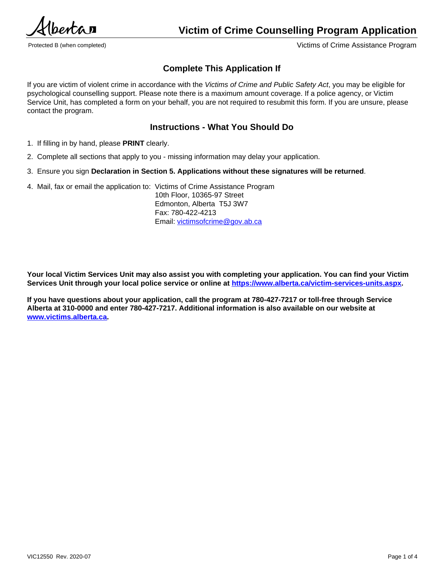$2e$ *ntra*  $\overline{a}$ 

Protected B (when completed) Victims of Crime Assistance Program

# **Complete This Application If**

If you are victim of violent crime in accordance with the *Victims of Crime and Public Safety Act*, you may be eligible for psychological counselling support. Please note there is a maximum amount coverage. If a police agency, or Victim Service Unit, has completed a form on your behalf, you are not required to resubmit this form. If you are unsure, please contact the program.

# **Instructions - What You Should Do**

- 1. If filling in by hand, please **PRINT** clearly.
- 2. Complete all sections that apply to you missing information may delay your application.
- 3. Ensure you sign **Declaration in Section 5. Applications without these signatures will be returned**.
- 4. Mail, fax or email the application to: Victims of Crime Assistance Program

10th Floor, 10365-97 Street Edmonton, Alberta T5J 3W7 Fax: 780-422-4213 Email: [victimsofcrime@gov.ab.ca](mailto:victimsofcrime@gov.ab.ca)

**Your local Victim Services Unit may also assist you with completing your application. You can find your Victim Services Unit through your local police service or online at [https://www.alberta.ca/victim-services-units.aspx.](https://www.alberta.ca/victim-services-units.aspx)**

**If you have questions about your application, call the program at 780-427-7217 or toll-free through Service Alberta at 310-0000 and enter 780-427-7217. Additional information is also available on our website at [www.victims.alberta.ca](https://www.alberta.ca/help-for-victims-of-crime.aspx).**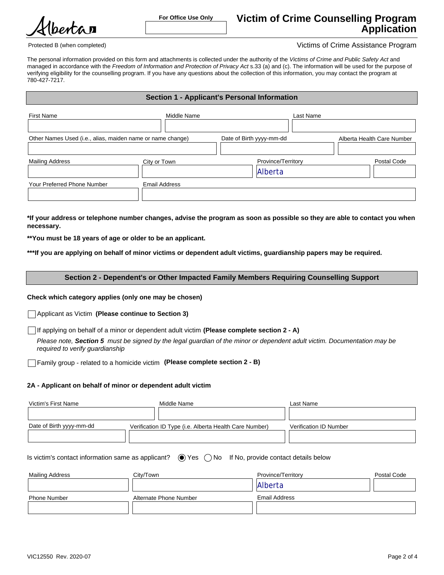bertan

**For Office Use Only**

Protected B (when completed) Victims of Crime Assistance Program

The personal information provided on this form and attachments is collected under the authority of the *Victims of Crime and Public Safety Act* and managed in accordance with the Freedom of Information and Protection of Privacy Act s.33 (a) and (c). The information will be used for the purpose of verifying eligibility for the counselling program. If you have any questions about the collection of this information, you may contact the program at 780-427-7217.

## **Section 1 - Applicant's Personal Information**

| <b>First Name</b>                                          | Middle Name   | Last Name                |                            |
|------------------------------------------------------------|---------------|--------------------------|----------------------------|
|                                                            |               |                          |                            |
| Other Names Used (i.e., alias, maiden name or name change) |               | Date of Birth yyyy-mm-dd | Alberta Health Care Number |
|                                                            |               |                          |                            |
| <b>Mailing Address</b>                                     | City or Town  | Province/Territory       | Postal Code                |
|                                                            |               | Alberta                  |                            |
| Your Preferred Phone Number                                | Email Address |                          |                            |
|                                                            |               |                          |                            |

**\*If your address or telephone number changes, advise the program as soon as possible so they are able to contact you when necessary.**

**\*\*You must be 18 years of age or older to be an applicant.**

**\*\*\*If you are applying on behalf of minor victims or dependent adult victims, guardianship papers may be required.**

## **Section 2 - Dependent's or Other Impacted Family Members Requiring Counselling Support**

## **Check which category applies (only one may be chosen)**

Applicant as Victim **(Please continue to Section 3)**

If applying on behalf of a minor or dependent adult victim **(Please complete section 2 - A)**

*Please note, Section 5 must be signed by the legal guardian of the minor or dependent adult victim. Documentation may be required to verify guardianship*

Family group - related to a homicide victim **(Please complete section 2 - B)**

## **2A - Applicant on behalf of minor or dependent adult victim**

| Victim's First Name      | Middle Name                                            | Last Name              |
|--------------------------|--------------------------------------------------------|------------------------|
|                          |                                                        |                        |
| Date of Birth yyyy-mm-dd | Verification ID Type (i.e. Alberta Health Care Number) | Verification ID Number |
|                          |                                                        |                        |

| Is victim's contact information same as applicant? $\bullet$ Yes $\circ$ No If No, provide contact details below |  |  |  |
|------------------------------------------------------------------------------------------------------------------|--|--|--|
|------------------------------------------------------------------------------------------------------------------|--|--|--|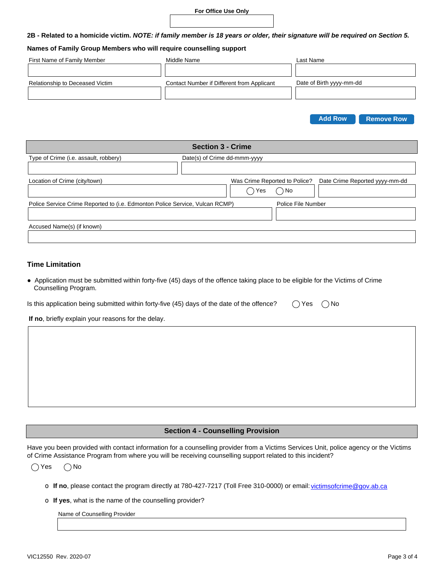## **For Office Use Only**

**2B - Related to a homicide victim.** *NOTE: if family member is 18 years or older, their signature will be required on Section 5.*

#### **Names of Family Group Members who will require counselling support**

| First Name of Family Member     | Middle Name                                | Last Name                |
|---------------------------------|--------------------------------------------|--------------------------|
|                                 |                                            |                          |
| Relationship to Deceased Victim | Contact Number if Different from Applicant | Date of Birth yyyy-mm-dd |
|                                 |                                            |                          |
|                                 |                                            |                          |



| <b>Section 3 - Crime</b>                                                     |                              |                               |                    |                                |
|------------------------------------------------------------------------------|------------------------------|-------------------------------|--------------------|--------------------------------|
| Type of Crime (i.e. assault, robbery)                                        | Date(s) of Crime dd-mmm-yyyy |                               |                    |                                |
|                                                                              |                              |                               |                    |                                |
| Location of Crime (city/town)                                                |                              | Was Crime Reported to Police? |                    | Date Crime Reported yyyy-mm-dd |
|                                                                              |                              | Yes                           | ) No               |                                |
| Police Service Crime Reported to (i.e. Edmonton Police Service, Vulcan RCMP) |                              |                               | Police File Number |                                |
|                                                                              |                              |                               |                    |                                |
| Accused Name(s) (if known)                                                   |                              |                               |                    |                                |
|                                                                              |                              |                               |                    |                                |

## **Time Limitation**

● Application must be submitted within forty-five (45) days of the offence taking place to be eligible for the Victims of Crime Counselling Program.

| ls this application being submitted within forty-five (45) days of the date of the offence? |  |
|---------------------------------------------------------------------------------------------|--|
|                                                                                             |  |

 $\bigcap$  Yes  $\bigcap$  No

**If no**, briefly explain your reasons for the delay.

### **Section 4 - Counselling Provision**

Have you been provided with contact information for a counselling provider from a Victims Services Unit, police agency or the Victims of Crime Assistance Program from where you will be receiving counselling support related to this incident?

 $\bigcap$  Yes  $\bigcap$  No

- o If no, please contact the program directly at 780-427-7217 (Toll Free 310-0000) or email: victimsofcrime@gov.ab.ca
- o **If yes**, what is the name of the counselling provider?

Name of Counselling Provider